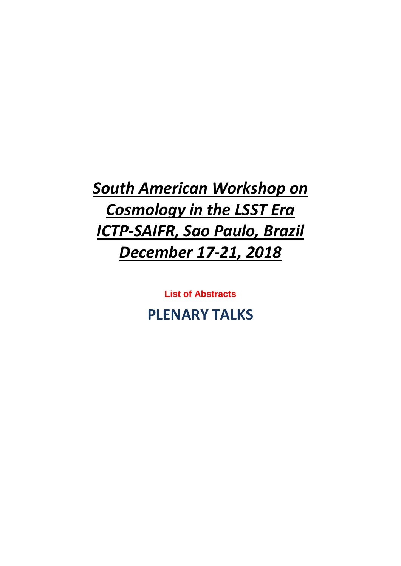# *South American Workshop on Cosmology in the LSST Era ICTP-SAIFR, Sao Paulo, Brazil December 17-21, 2018*

**List of Abstracts PLENARY TALKS**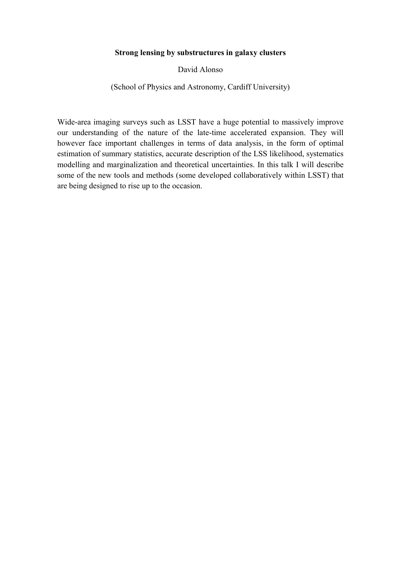## Strong lensing by substructures in galaxy clusters

David Alonso

(School of Physics and Astronomy, Cardiff University)

Wide-area imaging surveys such as LSST have a huge potential to massively improve our understanding of the nature of the late-time accelerated expansion. They will however face important challenges in terms of data analysis, in the form of optimal estimation of summary statistics, accurate description of the LSS likelihood, systematics modelling and marginalization and theoretical uncertainties. In this talk I will describe some of the new tools and methods (some developed collaboratively within LSST) that are being designed to rise up to the occasion.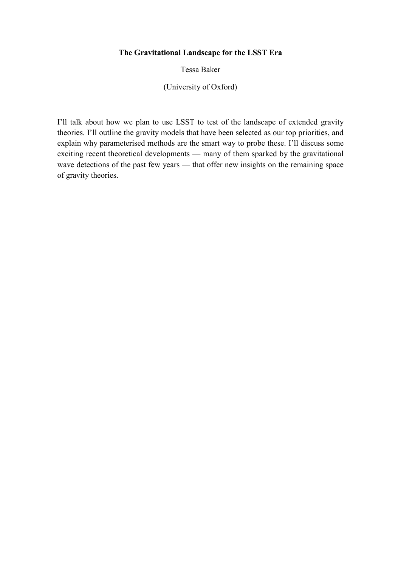## The Gravitational Landscape for the LSST Era

Tessa Baker

(University of Oxford)

I'll talk about how we plan to use LSST to test of the landscape of extended gravity theories. I'll outline the gravity models that have been selected as our top priorities, and explain why parameterised methods are the smart way to probe these. I'll discuss some exciting recent theoretical developments — many of them sparked by the gravitational wave detections of the past few years — that offer new insights on the remaining space of gravity theories.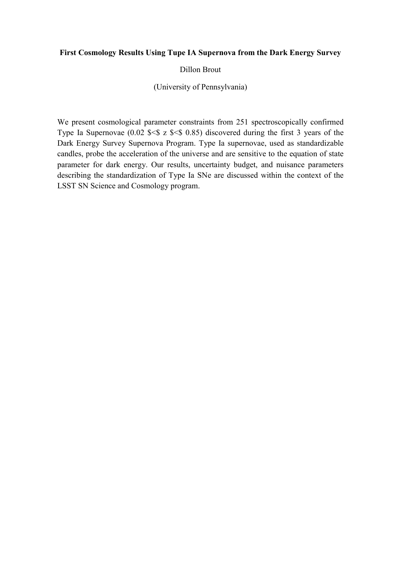## First Cosmology Results Using Tupe IA Supernova from the Dark Energy Survey

Dillon Brout

(University of Pennsylvania)

We present cosmological parameter constraints from 251 spectroscopically confirmed Type Ia Supernovae (0.02  $\leq \$  z  $\leq \$  0.85) discovered during the first 3 years of the Dark Energy Survey Supernova Program. Type Ia supernovae, used as standardizable candles, probe the acceleration of the universe and are sensitive to the equation of state parameter for dark energy. Our results, uncertainty budget, and nuisance parameters describing the standardization of Type Ia SNe are discussed within the context of the LSST SN Science and Cosmology program.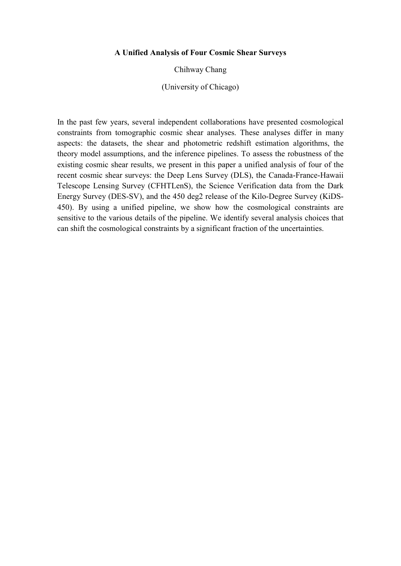#### A Unified Analysis of Four Cosmic Shear Surveys

Chihway Chang

### (University of Chicago)

In the past few years, several independent collaborations have presented cosmological constraints from tomographic cosmic shear analyses. These analyses differ in many aspects: the datasets, the shear and photometric redshift estimation algorithms, the theory model assumptions, and the inference pipelines. To assess the robustness of the existing cosmic shear results, we present in this paper a unified analysis of four of the recent cosmic shear surveys: the Deep Lens Survey (DLS), the Canada-France-Hawaii Telescope Lensing Survey (CFHTLenS), the Science Verification data from the Dark Energy Survey (DES-SV), and the 450 deg2 release of the Kilo-Degree Survey (KiDS-450). By using a unified pipeline, we show how the cosmological constraints are sensitive to the various details of the pipeline. We identify several analysis choices that can shift the cosmological constraints by a significant fraction of the uncertainties.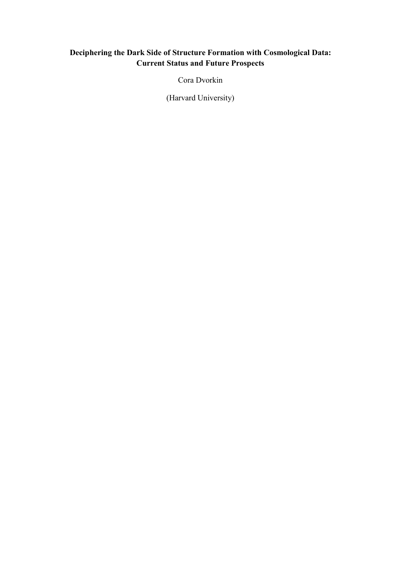## Deciphering the Dark Side of Structure Formation with Cosmological Data: Current Status and Future Prospects

Cora Dvorkin

(Harvard University)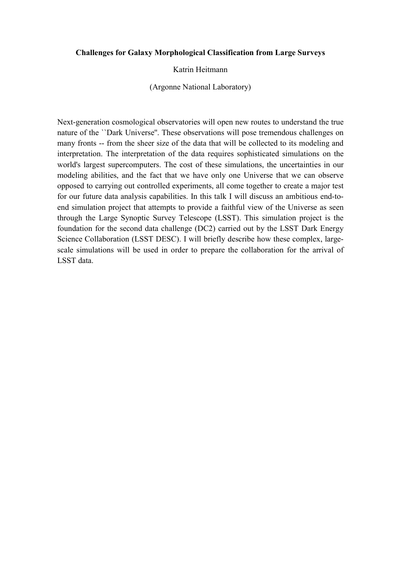#### Challenges for Galaxy Morphological Classification from Large Surveys

### Katrin Heitmann

(Argonne National Laboratory)

Next-generation cosmological observatories will open new routes to understand the true nature of the ``Dark Universe''. These observations will pose tremendous challenges on many fronts -- from the sheer size of the data that will be collected to its modeling and interpretation. The interpretation of the data requires sophisticated simulations on the world's largest supercomputers. The cost of these simulations, the uncertainties in our modeling abilities, and the fact that we have only one Universe that we can observe opposed to carrying out controlled experiments, all come together to create a major test for our future data analysis capabilities. In this talk I will discuss an ambitious end-toend simulation project that attempts to provide a faithful view of the Universe as seen through the Large Synoptic Survey Telescope (LSST). This simulation project is the foundation for the second data challenge (DC2) carried out by the LSST Dark Energy Science Collaboration (LSST DESC). I will briefly describe how these complex, largescale simulations will be used in order to prepare the collaboration for the arrival of LSST data.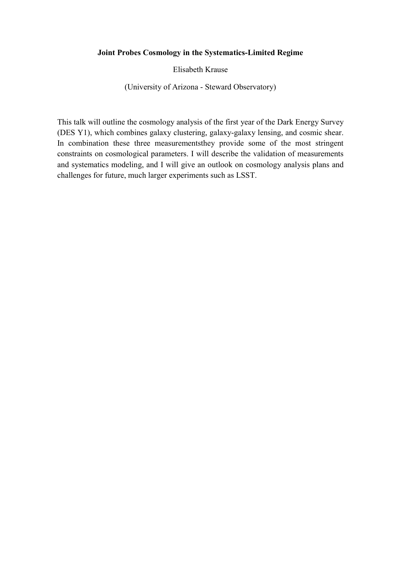## Joint Probes Cosmology in the Systematics-Limited Regime

Elisabeth Krause

(University of Arizona - Steward Observatory)

This talk will outline the cosmology analysis of the first year of the Dark Energy Survey (DES Y1), which combines galaxy clustering, galaxy-galaxy lensing, and cosmic shear. In combination these three measurementsthey provide some of the most stringent constraints on cosmological parameters. I will describe the validation of measurements and systematics modeling, and I will give an outlook on cosmology analysis plans and challenges for future, much larger experiments such as LSST.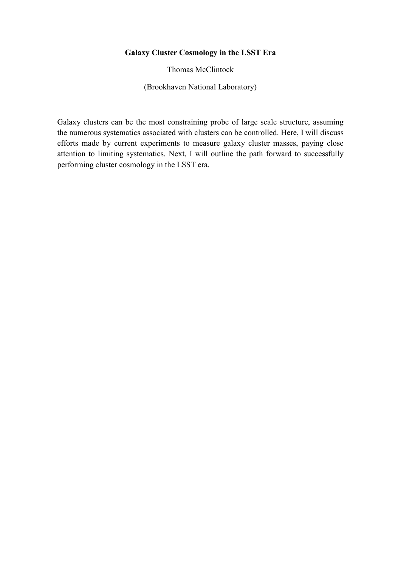## Galaxy Cluster Cosmology in the LSST Era

Thomas McClintock

(Brookhaven National Laboratory)

Galaxy clusters can be the most constraining probe of large scale structure, assuming the numerous systematics associated with clusters can be controlled. Here, I will discuss efforts made by current experiments to measure galaxy cluster masses, paying close attention to limiting systematics. Next, I will outline the path forward to successfully performing cluster cosmology in the LSST era.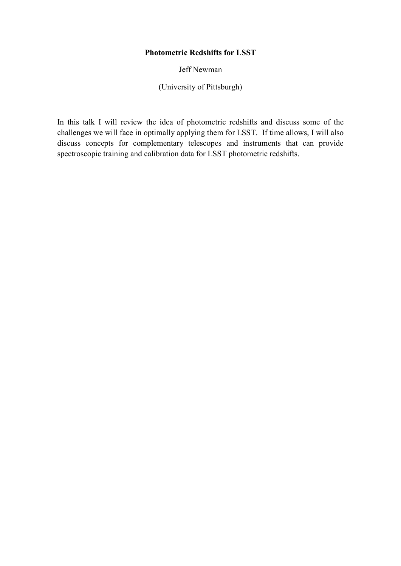## Photometric Redshifts for LSST

Jeff Newman

(University of Pittsburgh)

In this talk I will review the idea of photometric redshifts and discuss some of the challenges we will face in optimally applying them for LSST. If time allows, I will also discuss concepts for complementary telescopes and instruments that can provide spectroscopic training and calibration data for LSST photometric redshifts.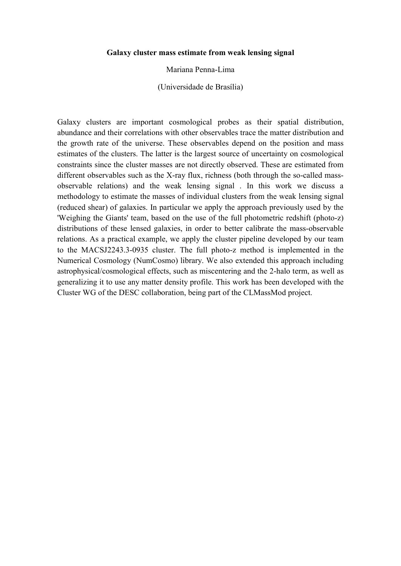#### Galaxy cluster mass estimate from weak lensing signal

Mariana Penna-Lima

(Universidade de Brasília)

Galaxy clusters are important cosmological probes as their spatial distribution, abundance and their correlations with other observables trace the matter distribution and the growth rate of the universe. These observables depend on the position and mass estimates of the clusters. The latter is the largest source of uncertainty on cosmological constraints since the cluster masses are not directly observed. These are estimated from different observables such as the X-ray flux, richness (both through the so-called massobservable relations) and the weak lensing signal . In this work we discuss a methodology to estimate the masses of individual clusters from the weak lensing signal (reduced shear) of galaxies. In particular we apply the approach previously used by the 'Weighing the Giants' team, based on the use of the full photometric redshift (photo-z) distributions of these lensed galaxies, in order to better calibrate the mass-observable relations. As a practical example, we apply the cluster pipeline developed by our team to the MACSJ2243.3-0935 cluster. The full photo-z method is implemented in the Numerical Cosmology (NumCosmo) library. We also extended this approach including astrophysical/cosmological effects, such as miscentering and the 2-halo term, as well as generalizing it to use any matter density profile. This work has been developed with the Cluster WG of the DESC collaboration, being part of the CLMassMod project.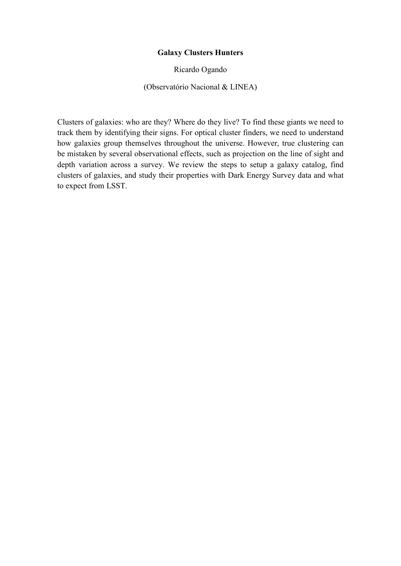## Galaxy Clusters Hunters

Ricardo Ogando

(Observatório Nacional & LINEA)

Clusters of galaxies: who are they? Where do they live? To find these giants we need to track them by identifying their signs. For optical cluster finders, we need to understand how galaxies group themselves throughout the universe. However, true clustering can be mistaken by several observational effects, such as projection on the line of sight and depth variation across a survey. We review the steps to setup a galaxy catalog, find clusters of galaxies, and study their properties with Dark Energy Survey data and what to expect from LSST.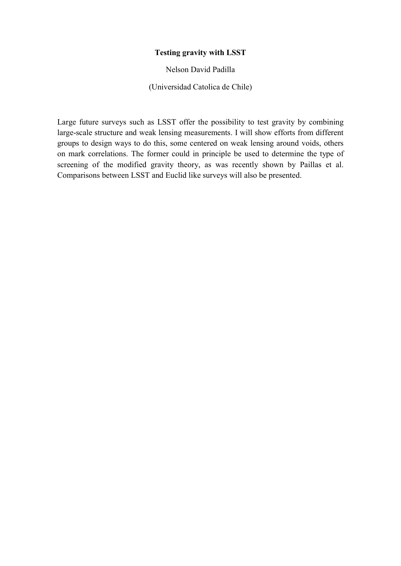## Testing gravity with LSST

Nelson David Padilla

(Universidad Catolica de Chile)

Large future surveys such as LSST offer the possibility to test gravity by combining large-scale structure and weak lensing measurements. I will show efforts from different groups to design ways to do this, some centered on weak lensing around voids, others on mark correlations. The former could in principle be used to determine the type of screening of the modified gravity theory, as was recently shown by Paillas et al. Comparisons between LSST and Euclid like surveys will also be presented.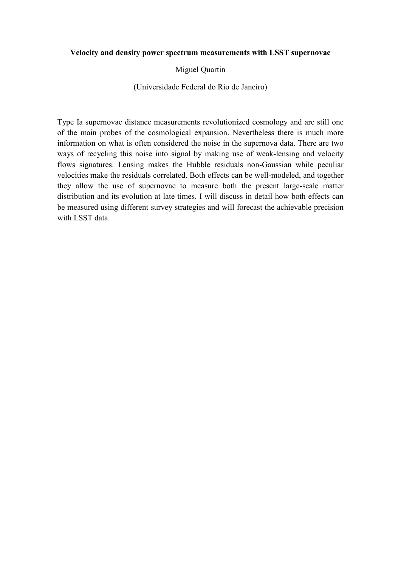## Velocity and density power spectrum measurements with LSST supernovae

Miguel Quartin

(Universidade Federal do Rio de Janeiro)

Type Ia supernovae distance measurements revolutionized cosmology and are still one of the main probes of the cosmological expansion. Nevertheless there is much more information on what is often considered the noise in the supernova data. There are two ways of recycling this noise into signal by making use of weak-lensing and velocity flows signatures. Lensing makes the Hubble residuals non-Gaussian while peculiar velocities make the residuals correlated. Both effects can be well-modeled, and together they allow the use of supernovae to measure both the present large-scale matter distribution and its evolution at late times. I will discuss in detail how both effects can be measured using different survey strategies and will forecast the achievable precision with LSST data.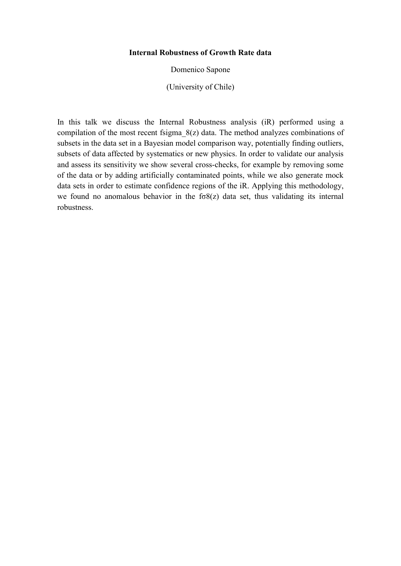## Internal Robustness of Growth Rate data

Domenico Sapone

(University of Chile)

In this talk we discuss the Internal Robustness analysis (iR) performed using a compilation of the most recent fsigma\_8(z) data. The method analyzes combinations of subsets in the data set in a Bayesian model comparison way, potentially finding outliers, subsets of data affected by systematics or new physics. In order to validate our analysis and assess its sensitivity we show several cross-checks, for example by removing some of the data or by adding artificially contaminated points, while we also generate mock data sets in order to estimate confidence regions of the iR. Applying this methodology, we found no anomalous behavior in the  $f(x)$  data set, thus validating its internal robustness.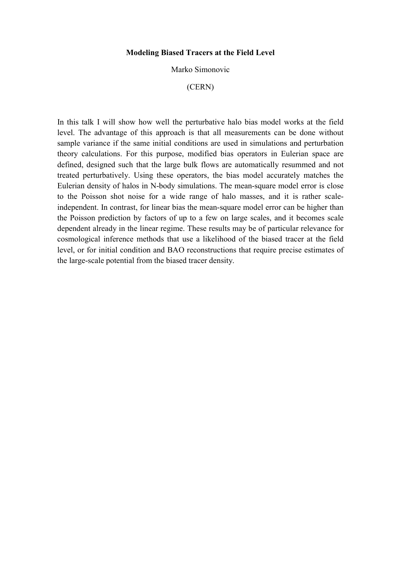#### Modeling Biased Tracers at the Field Level

### Marko Simonovic

## (CERN)

In this talk I will show how well the perturbative halo bias model works at the field level. The advantage of this approach is that all measurements can be done without sample variance if the same initial conditions are used in simulations and perturbation theory calculations. For this purpose, modified bias operators in Eulerian space are defined, designed such that the large bulk flows are automatically resummed and not treated perturbatively. Using these operators, the bias model accurately matches the Eulerian density of halos in N-body simulations. The mean-square model error is close to the Poisson shot noise for a wide range of halo masses, and it is rather scaleindependent. In contrast, for linear bias the mean-square model error can be higher than the Poisson prediction by factors of up to a few on large scales, and it becomes scale dependent already in the linear regime. These results may be of particular relevance for cosmological inference methods that use a likelihood of the biased tracer at the field level, or for initial condition and BAO reconstructions that require precise estimates of the large-scale potential from the biased tracer density.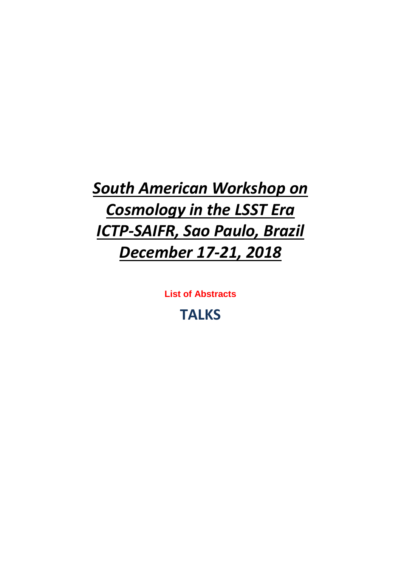# *South American Workshop on Cosmology in the LSST Era ICTP-SAIFR, Sao Paulo, Brazil December 17-21, 2018*

**List of Abstracts**

**TALKS**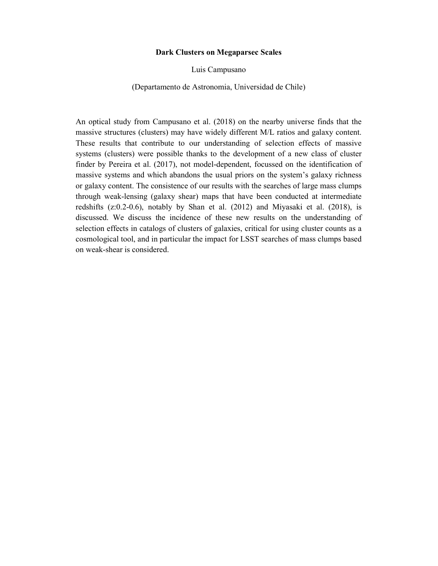#### Dark Clusters on Megaparsec Scales

Luis Campusano

(Departamento de Astronomia, Universidad de Chile)

An optical study from Campusano et al. (2018) on the nearby universe finds that the massive structures (clusters) may have widely different M/L ratios and galaxy content. These results that contribute to our understanding of selection effects of massive systems (clusters) were possible thanks to the development of a new class of cluster finder by Pereira et al. (2017), not model-dependent, focussed on the identification of massive systems and which abandons the usual priors on the system's galaxy richness or galaxy content. The consistence of our results with the searches of large mass clumps through weak-lensing (galaxy shear) maps that have been conducted at intermediate redshifts (z:0.2-0.6), notably by Shan et al. (2012) and Miyasaki et al. (2018), is discussed. We discuss the incidence of these new results on the understanding of selection effects in catalogs of clusters of galaxies, critical for using cluster counts as a cosmological tool, and in particular the impact for LSST searches of mass clumps based on weak-shear is considered.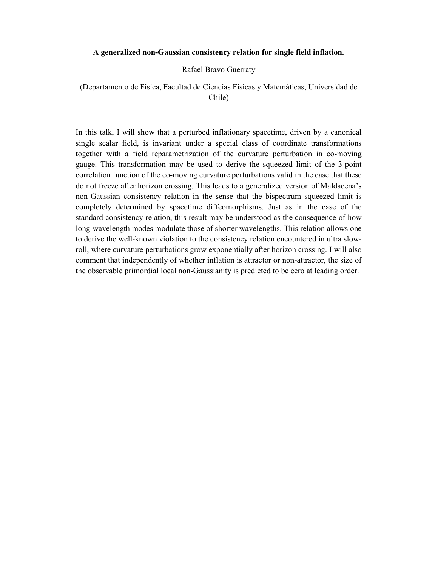#### A generalized non-Gaussian consistency relation for single field inflation.

#### Rafael Bravo Guerraty

(Departamento de Física, Facultad de Ciencias Físicas y Matemáticas, Universidad de Chile)

In this talk, I will show that a perturbed inflationary spacetime, driven by a canonical single scalar field, is invariant under a special class of coordinate transformations together with a field reparametrization of the curvature perturbation in co-moving gauge. This transformation may be used to derive the squeezed limit of the 3-point correlation function of the co-moving curvature perturbations valid in the case that these do not freeze after horizon crossing. This leads to a generalized version of Maldacena's non-Gaussian consistency relation in the sense that the bispectrum squeezed limit is completely determined by spacetime diffeomorphisms. Just as in the case of the standard consistency relation, this result may be understood as the consequence of how long-wavelength modes modulate those of shorter wavelengths. This relation allows one to derive the well-known violation to the consistency relation encountered in ultra slowroll, where curvature perturbations grow exponentially after horizon crossing. I will also comment that independently of whether inflation is attractor or non-attractor, the size of the observable primordial local non-Gaussianity is predicted to be cero at leading order.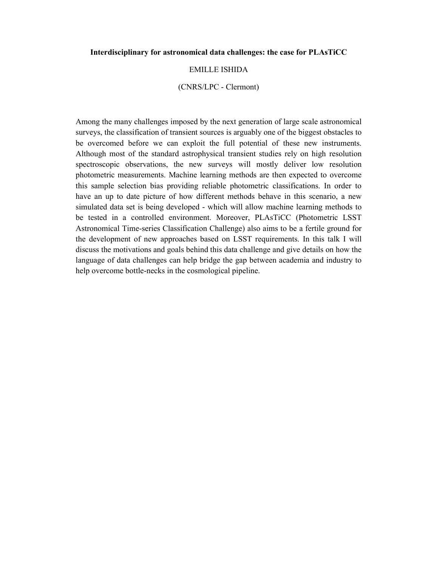#### Interdisciplinary for astronomical data challenges: the case for PLAsTiCC

#### EMILLE ISHIDA

#### (CNRS/LPC - Clermont)

Among the many challenges imposed by the next generation of large scale astronomical surveys, the classification of transient sources is arguably one of the biggest obstacles to be overcomed before we can exploit the full potential of these new instruments. Although most of the standard astrophysical transient studies rely on high resolution spectroscopic observations, the new surveys will mostly deliver low resolution photometric measurements. Machine learning methods are then expected to overcome this sample selection bias providing reliable photometric classifications. In order to have an up to date picture of how different methods behave in this scenario, a new simulated data set is being developed - which will allow machine learning methods to be tested in a controlled environment. Moreover, PLAsTiCC (Photometric LSST Astronomical Time-series Classification Challenge) also aims to be a fertile ground for the development of new approaches based on LSST requirements. In this talk I will discuss the motivations and goals behind this data challenge and give details on how the language of data challenges can help bridge the gap between academia and industry to help overcome bottle-necks in the cosmological pipeline.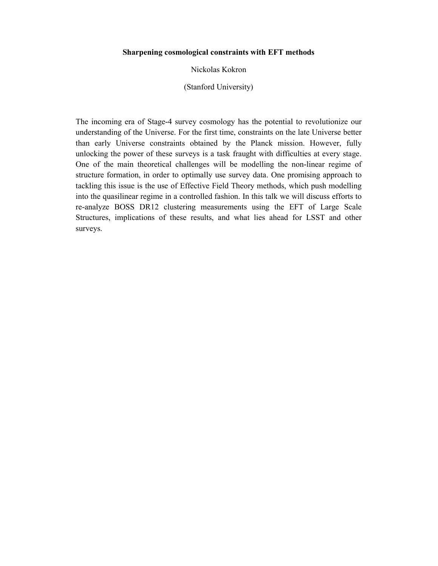#### Sharpening cosmological constraints with EFT methods

Nickolas Kokron

(Stanford University)

The incoming era of Stage-4 survey cosmology has the potential to revolutionize our understanding of the Universe. For the first time, constraints on the late Universe better than early Universe constraints obtained by the Planck mission. However, fully unlocking the power of these surveys is a task fraught with difficulties at every stage. One of the main theoretical challenges will be modelling the non-linear regime of structure formation, in order to optimally use survey data. One promising approach to tackling this issue is the use of Effective Field Theory methods, which push modelling into the quasilinear regime in a controlled fashion. In this talk we will discuss efforts to re-analyze BOSS DR12 clustering measurements using the EFT of Large Scale Structures, implications of these results, and what lies ahead for LSST and other surveys.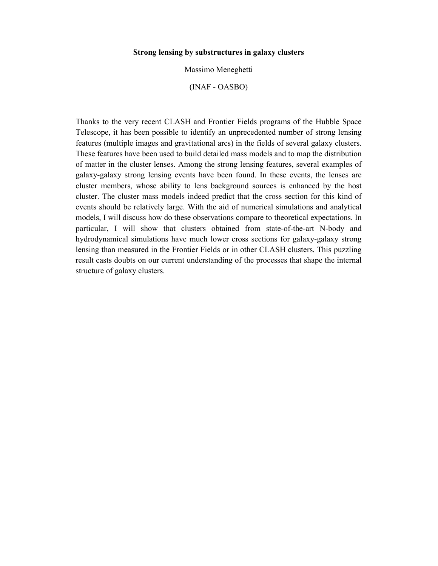#### Strong lensing by substructures in galaxy clusters

Massimo Meneghetti

(INAF - OASBO)

Thanks to the very recent CLASH and Frontier Fields programs of the Hubble Space Telescope, it has been possible to identify an unprecedented number of strong lensing features (multiple images and gravitational arcs) in the fields of several galaxy clusters. These features have been used to build detailed mass models and to map the distribution of matter in the cluster lenses. Among the strong lensing features, several examples of galaxy-galaxy strong lensing events have been found. In these events, the lenses are cluster members, whose ability to lens background sources is enhanced by the host cluster. The cluster mass models indeed predict that the cross section for this kind of events should be relatively large. With the aid of numerical simulations and analytical models, I will discuss how do these observations compare to theoretical expectations. In particular, I will show that clusters obtained from state-of-the-art N-body and hydrodynamical simulations have much lower cross sections for galaxy-galaxy strong lensing than measured in the Frontier Fields or in other CLASH clusters. This puzzling result casts doubts on our current understanding of the processes that shape the internal structure of galaxy clusters.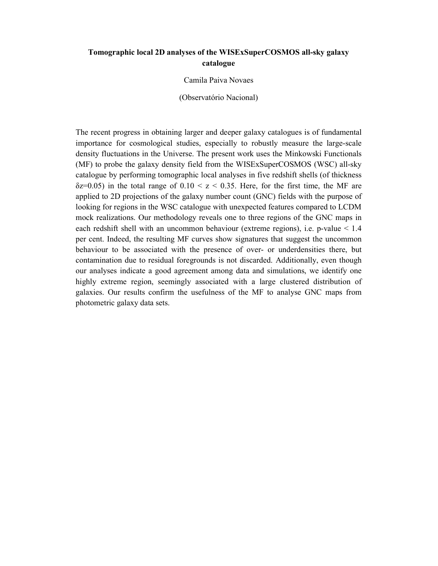## Tomographic local 2D analyses of the WISExSuperCOSMOS all-sky galaxy catalogue

Camila Paiva Novaes

(Observatório Nacional)

The recent progress in obtaining larger and deeper galaxy catalogues is of fundamental importance for cosmological studies, especially to robustly measure the large-scale density fluctuations in the Universe. The present work uses the Minkowski Functionals (MF) to probe the galaxy density field from the WISExSuperCOSMOS (WSC) all-sky catalogue by performing tomographic local analyses in five redshift shells (of thickness  $\delta z = 0.05$ ) in the total range of  $0.10 \le z \le 0.35$ . Here, for the first time, the MF are applied to 2D projections of the galaxy number count (GNC) fields with the purpose of looking for regions in the WSC catalogue with unexpected features compared to LCDM mock realizations. Our methodology reveals one to three regions of the GNC maps in each redshift shell with an uncommon behaviour (extreme regions), i.e. p-value < 1.4 per cent. Indeed, the resulting MF curves show signatures that suggest the uncommon behaviour to be associated with the presence of over- or underdensities there, but contamination due to residual foregrounds is not discarded. Additionally, even though our analyses indicate a good agreement among data and simulations, we identify one highly extreme region, seemingly associated with a large clustered distribution of galaxies. Our results confirm the usefulness of the MF to analyse GNC maps from photometric galaxy data sets.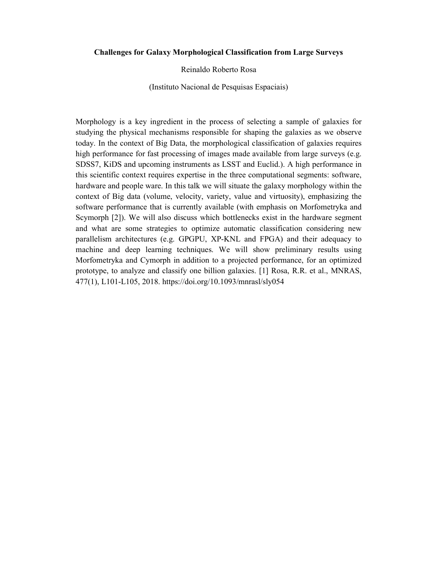#### Challenges for Galaxy Morphological Classification from Large Surveys

Reinaldo Roberto Rosa

(Instituto Nacional de Pesquisas Espaciais)

Morphology is a key ingredient in the process of selecting a sample of galaxies for studying the physical mechanisms responsible for shaping the galaxies as we observe today. In the context of Big Data, the morphological classification of galaxies requires high performance for fast processing of images made available from large surveys (e.g. SDSS7, KiDS and upcoming instruments as LSST and Euclid.). A high performance in this scientific context requires expertise in the three computational segments: software, hardware and people ware. In this talk we will situate the galaxy morphology within the context of Big data (volume, velocity, variety, value and virtuosity), emphasizing the software performance that is currently available (with emphasis on Morfometryka and Scymorph [2]). We will also discuss which bottlenecks exist in the hardware segment and what are some strategies to optimize automatic classification considering new parallelism architectures (e.g. GPGPU, XP-KNL and FPGA) and their adequacy to machine and deep learning techniques. We will show preliminary results using Morfometryka and Cymorph in addition to a projected performance, for an optimized prototype, to analyze and classify one billion galaxies. [1] Rosa, R.R. et al., MNRAS, 477(1), L101-L105, 2018. https://doi.org/10.1093/mnrasl/sly054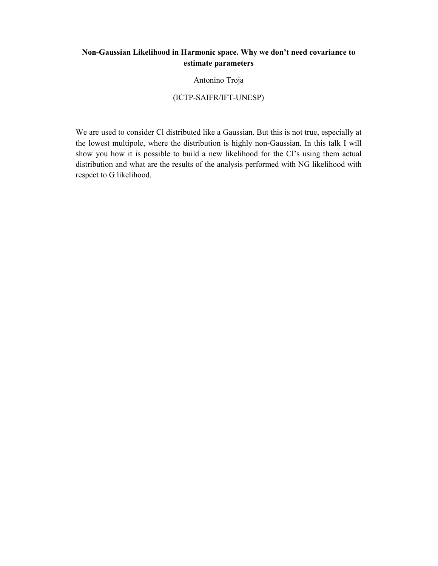## Non-Gaussian Likelihood in Harmonic space. Why we don't need covariance to estimate parameters

#### Antonino Troja

#### (ICTP-SAIFR/IFT-UNESP)

We are used to consider Cl distributed like a Gaussian. But this is not true, especially at the lowest multipole, where the distribution is highly non-Gaussian. In this talk I will show you how it is possible to build a new likelihood for the Cl's using them actual distribution and what are the results of the analysis performed with NG likelihood with respect to G likelihood.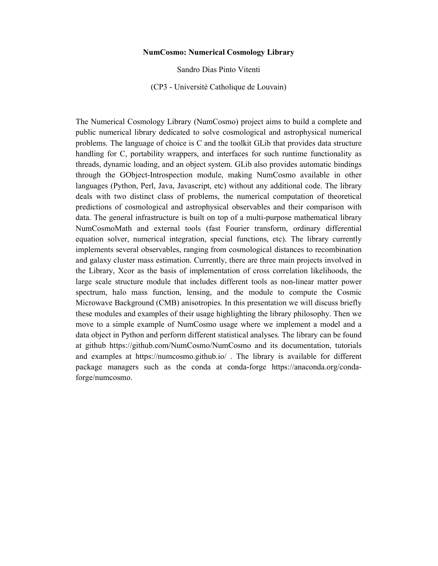#### NumCosmo: Numerical Cosmology Library

Sandro Dias Pinto Vitenti

(CP3 - Universitè Catholique de Louvain)

The Numerical Cosmology Library (NumCosmo) project aims to build a complete and public numerical library dedicated to solve cosmological and astrophysical numerical problems. The language of choice is C and the toolkit GLib that provides data structure handling for C, portability wrappers, and interfaces for such runtime functionality as threads, dynamic loading, and an object system. GLib also provides automatic bindings through the GObject-Introspection module, making NumCosmo available in other languages (Python, Perl, Java, Javascript, etc) without any additional code. The library deals with two distinct class of problems, the numerical computation of theoretical predictions of cosmological and astrophysical observables and their comparison with data. The general infrastructure is built on top of a multi-purpose mathematical library NumCosmoMath and external tools (fast Fourier transform, ordinary differential equation solver, numerical integration, special functions, etc). The library currently implements several observables, ranging from cosmological distances to recombination and galaxy cluster mass estimation. Currently, there are three main projects involved in the Library, Xcor as the basis of implementation of cross correlation likelihoods, the large scale structure module that includes different tools as non-linear matter power spectrum, halo mass function, lensing, and the module to compute the Cosmic Microwave Background (CMB) anisotropies. In this presentation we will discuss briefly these modules and examples of their usage highlighting the library philosophy. Then we move to a simple example of NumCosmo usage where we implement a model and a data object in Python and perform different statistical analyses. The library can be found at github https://github.com/NumCosmo/NumCosmo and its documentation, tutorials and examples at https://numcosmo.github.io/ . The library is available for different package managers such as the conda at conda-forge https://anaconda.org/condaforge/numcosmo.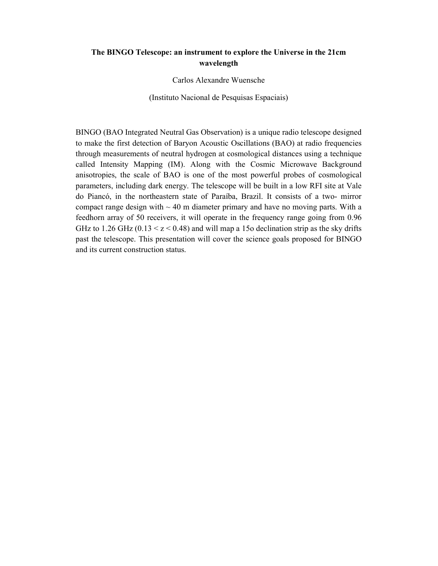## The BINGO Telescope: an instrument to explore the Universe in the 21cm wavelength

Carlos Alexandre Wuensche

(Instituto Nacional de Pesquisas Espaciais)

BINGO (BAO Integrated Neutral Gas Observation) is a unique radio telescope designed to make the first detection of Baryon Acoustic Oscillations (BAO) at radio frequencies through measurements of neutral hydrogen at cosmological distances using a technique called Intensity Mapping (IM). Along with the Cosmic Microwave Background anisotropies, the scale of BAO is one of the most powerful probes of cosmological parameters, including dark energy. The telescope will be built in a low RFI site at Vale do Piancó, in the northeastern state of Paraíba, Brazil. It consists of a two- mirror compact range design with  $\sim$  40 m diameter primary and have no moving parts. With a feedhorn array of 50 receivers, it will operate in the frequency range going from 0.96 GHz to 1.26 GHz  $(0.13 < z < 0.48)$  and will map a 15o declination strip as the sky drifts past the telescope. This presentation will cover the science goals proposed for BINGO and its current construction status.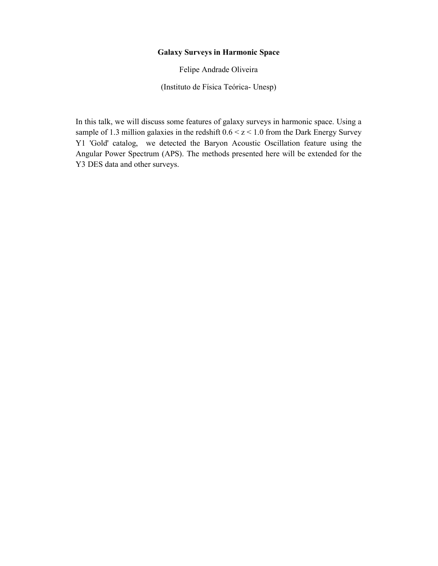## Galaxy Surveys in Harmonic Space

Felipe Andrade Oliveira

(Instituto de Física Teórica- Unesp)

In this talk, we will discuss some features of galaxy surveys in harmonic space. Using a sample of 1.3 million galaxies in the redshift  $0.6 \le z \le 1.0$  from the Dark Energy Survey Y1 'Gold' catalog, we detected the Baryon Acoustic Oscillation feature using the Angular Power Spectrum (APS). The methods presented here will be extended for the Y3 DES data and other surveys.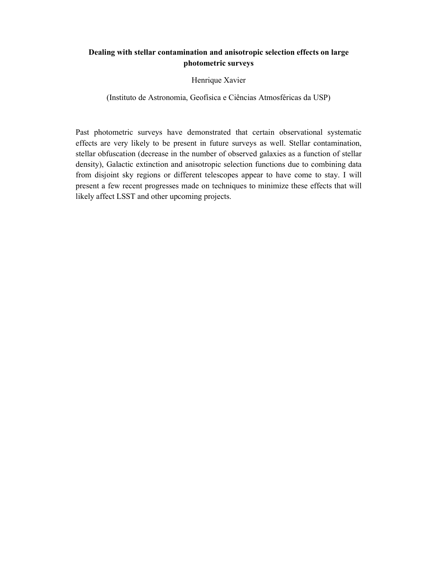## Dealing with stellar contamination and anisotropic selection effects on large photometric surveys

Henrique Xavier

(Instituto de Astronomia, Geofísica e Ciências Atmosféricas da USP)

Past photometric surveys have demonstrated that certain observational systematic effects are very likely to be present in future surveys as well. Stellar contamination, stellar obfuscation (decrease in the number of observed galaxies as a function of stellar density), Galactic extinction and anisotropic selection functions due to combining data from disjoint sky regions or different telescopes appear to have come to stay. I will present a few recent progresses made on techniques to minimize these effects that will likely affect LSST and other upcoming projects.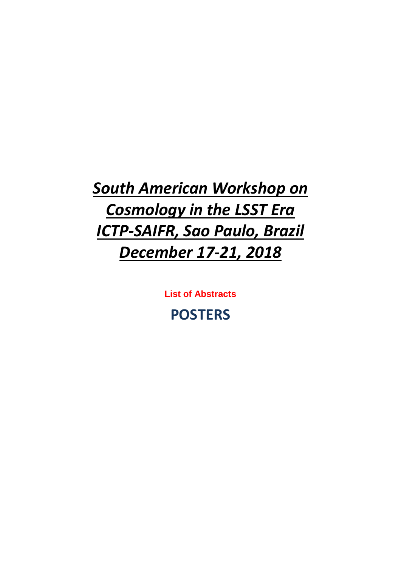# *South American Workshop on Cosmology in the LSST Era ICTP-SAIFR, Sao Paulo, Brazil December 17-21, 2018*

**List of Abstracts**

**POSTERS**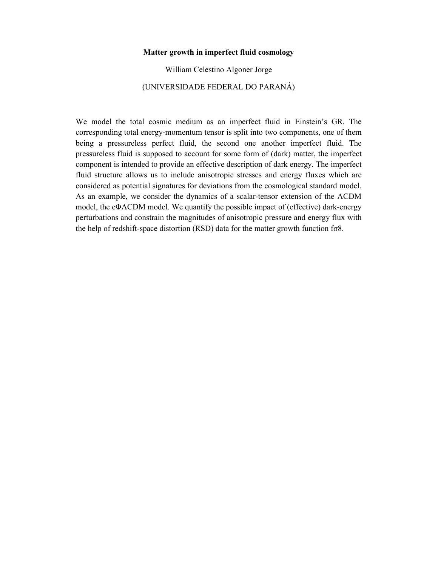#### Matter growth in imperfect fluid cosmology

William Celestino Algoner Jorge

## (UNIVERSIDADE FEDERAL DO PARANÁ)

We model the total cosmic medium as an imperfect fluid in Einstein's GR. The corresponding total energy-momentum tensor is split into two components, one of them being a pressureless perfect fluid, the second one another imperfect fluid. The pressureless fluid is supposed to account for some form of (dark) matter, the imperfect component is intended to provide an effective description of dark energy. The imperfect fluid structure allows us to include anisotropic stresses and energy fluxes which are considered as potential signatures for deviations from the cosmological standard model. As an example, we consider the dynamics of a scalar-tensor extension of the ΛCDM model, the eΦΛCDM model. We quantify the possible impact of (effective) dark-energy perturbations and constrain the magnitudes of anisotropic pressure and energy flux with the help of redshift-space distortion (RSD) data for the matter growth function fσ8.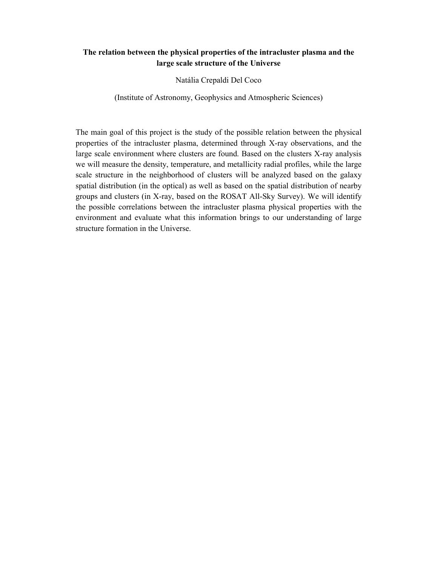## The relation between the physical properties of the intracluster plasma and the large scale structure of the Universe

Natália Crepaldi Del Coco

(Institute of Astronomy, Geophysics and Atmospheric Sciences)

The main goal of this project is the study of the possible relation between the physical properties of the intracluster plasma, determined through X-ray observations, and the large scale environment where clusters are found. Based on the clusters X-ray analysis we will measure the density, temperature, and metallicity radial profiles, while the large scale structure in the neighborhood of clusters will be analyzed based on the galaxy spatial distribution (in the optical) as well as based on the spatial distribution of nearby groups and clusters (in X-ray, based on the ROSAT All-Sky Survey). We will identify the possible correlations between the intracluster plasma physical properties with the environment and evaluate what this information brings to our understanding of large structure formation in the Universe.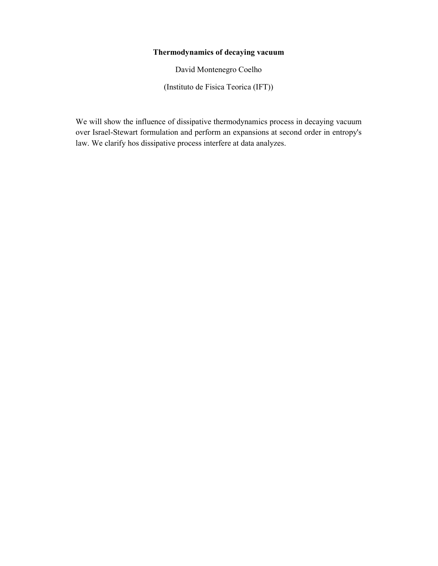## Thermodynamics of decaying vacuum

David Montenegro Coelho

(Instituto de Fisica Teorica (IFT))

We will show the influence of dissipative thermodynamics process in decaying vacuum over Israel-Stewart formulation and perform an expansions at second order in entropy's law. We clarify hos dissipative process interfere at data analyzes.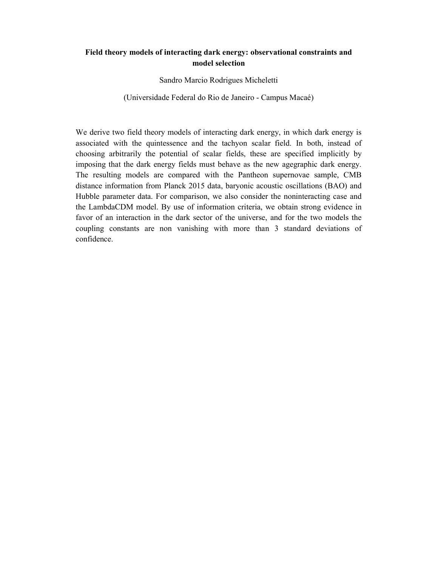## Field theory models of interacting dark energy: observational constraints and model selection

Sandro Marcio Rodrigues Micheletti

(Universidade Federal do Rio de Janeiro - Campus Macaé)

We derive two field theory models of interacting dark energy, in which dark energy is associated with the quintessence and the tachyon scalar field. In both, instead of choosing arbitrarily the potential of scalar fields, these are specified implicitly by imposing that the dark energy fields must behave as the new agegraphic dark energy. The resulting models are compared with the Pantheon supernovae sample, CMB distance information from Planck 2015 data, baryonic acoustic oscillations (BAO) and Hubble parameter data. For comparison, we also consider the noninteracting case and the LambdaCDM model. By use of information criteria, we obtain strong evidence in favor of an interaction in the dark sector of the universe, and for the two models the coupling constants are non vanishing with more than 3 standard deviations of confidence.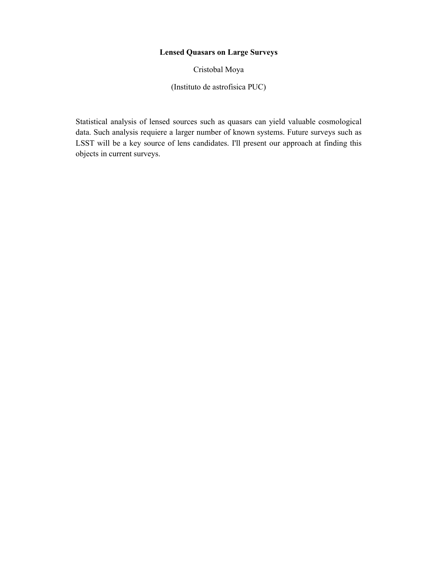## Lensed Quasars on Large Surveys

Cristobal Moya

(Instituto de astrofisica PUC)

Statistical analysis of lensed sources such as quasars can yield valuable cosmological data. Such analysis requiere a larger number of known systems. Future surveys such as LSST will be a key source of lens candidates. I'll present our approach at finding this objects in current surveys.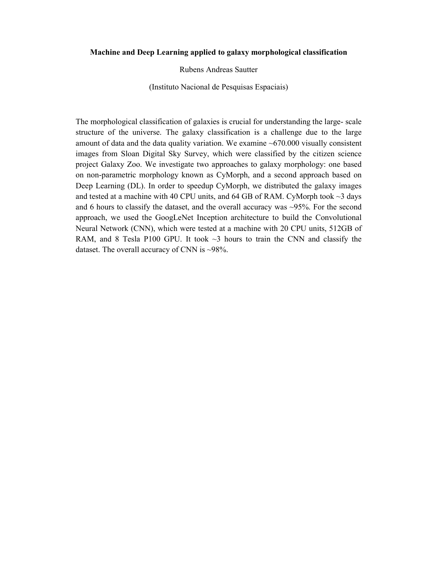#### Machine and Deep Learning applied to galaxy morphological classification

Rubens Andreas Sautter

(Instituto Nacional de Pesquisas Espaciais)

The morphological classification of galaxies is crucial for understanding the large- scale structure of the universe. The galaxy classification is a challenge due to the large amount of data and the data quality variation. We examine  $\sim 670.000$  visually consistent images from Sloan Digital Sky Survey, which were classified by the citizen science project Galaxy Zoo. We investigate two approaches to galaxy morphology: one based on non-parametric morphology known as CyMorph, and a second approach based on Deep Learning (DL). In order to speedup CyMorph, we distributed the galaxy images and tested at a machine with 40 CPU units, and 64 GB of RAM. CyMorph took  $\sim$ 3 days and 6 hours to classify the dataset, and the overall accuracy was ~95%. For the second approach, we used the GoogLeNet Inception architecture to build the Convolutional Neural Network (CNN), which were tested at a machine with 20 CPU units, 512GB of RAM, and 8 Tesla P100 GPU. It took  $\sim$ 3 hours to train the CNN and classify the dataset. The overall accuracy of CNN is ~98%.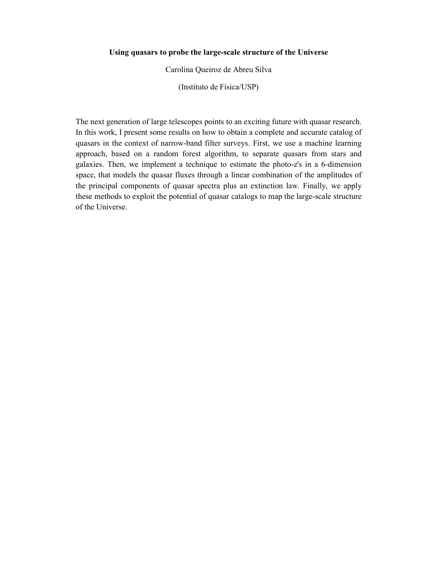#### Using quasars to probe the large-scale structure of the Universe

Carolina Queiroz de Abreu Silva

(Instituto de Física/USP)

The next generation of large telescopes points to an exciting future with quasar research. In this work, I present some results on how to obtain a complete and accurate catalog of quasars in the context of narrow-band filter surveys. First, we use a machine learning approach, based on a random forest algorithm, to separate quasars from stars and galaxies. Then, we implement a technique to estimate the photo-z's in a 6-dimension space, that models the quasar fluxes through a linear combination of the amplitudes of the principal components of quasar spectra plus an extinction law. Finally, we apply these methods to exploit the potential of quasar catalogs to map the large-scale structure of the Universe.